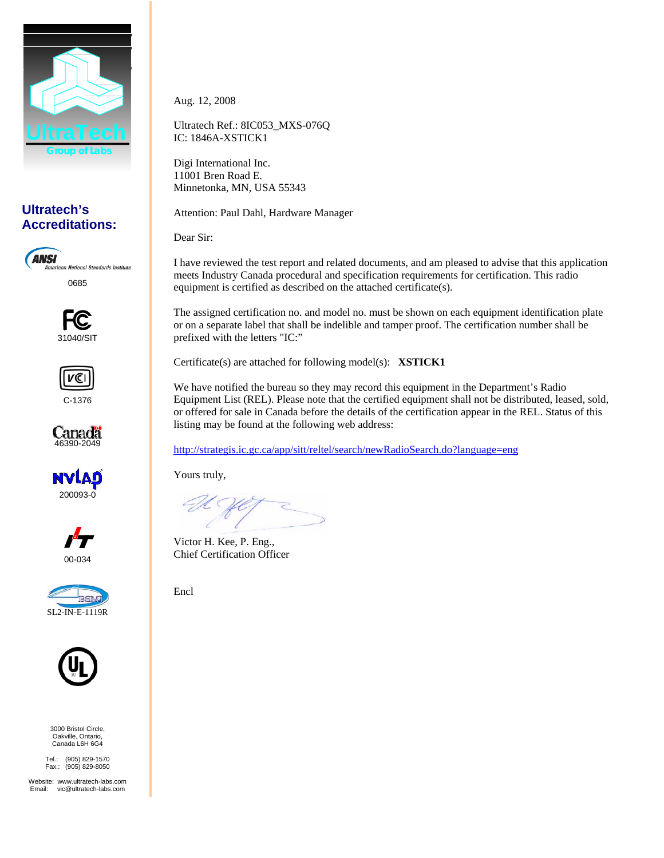

# **Ultratech's Accreditations:**

**ANSI American National Standards Institute** 0685





C-1376











3000 Bristol Circle, Oakville, Ontario, Canada L6H 6G4

Tel.: (905) 829-1570 Fax.: (905) 829-8050

Website: www.ultratech-labs.com<br>Email: vic@ultratech-labs.com vic@ultratech-labs.com

Aug. 12, 2008

Ultratech Ref.: 8IC053\_MXS-076Q IC: 1846A-XSTICK1

Digi International Inc. 11001 Bren Road E. Minnetonka, MN, USA 55343

Attention: Paul Dahl, Hardware Manager

Dear Sir:

I have reviewed the test report and related documents, and am pleased to advise that this application meets Industry Canada procedural and specification requirements for certification. This radio equipment is certified as described on the attached certificate(s).

The assigned certification no. and model no. must be shown on each equipment identification plate or on a separate label that shall be indelible and tamper proof. The certification number shall be prefixed with the letters "IC:"

Certificate(s) are attached for following model(s): **XSTICK1**

We have notified the bureau so they may record this equipment in the Department's Radio Equipment List (REL). Please note that the certified equipment shall not be distributed, leased, sold, or offered for sale in Canada before the details of the certification appear in the REL. Status of this listing may be found at the following web address:

http://strategis.ic.gc.ca/app/sitt/reltel/search/newRadioSearch.do?language=eng

Yours truly,

Victor H. Kee, P. Eng., Chief Certification Officer

Encl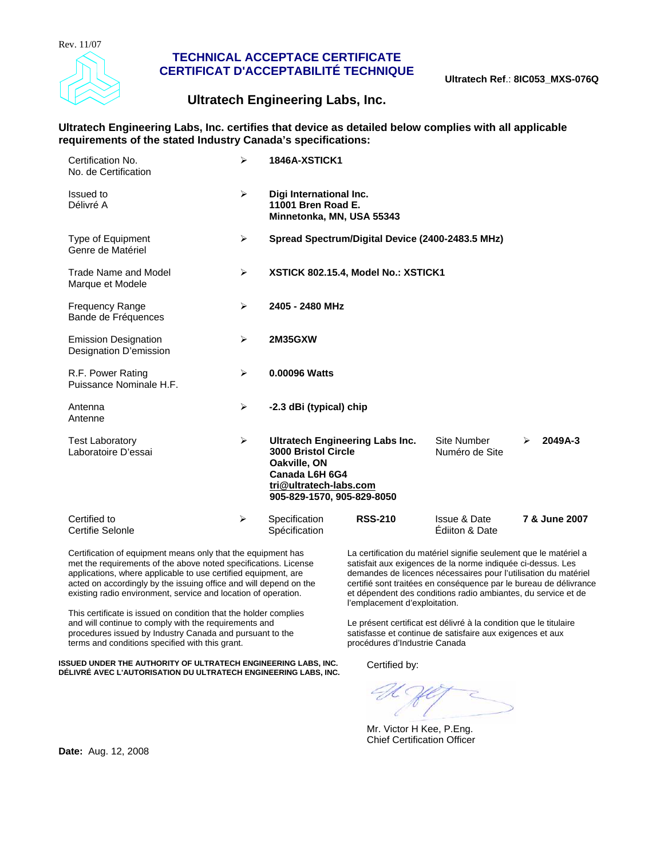

## **TECHNICAL ACCEPTACE CERTIFICATE CERTIFICAT D'ACCEPTABILITÉ TECHNIQUE**

# **Ultratech Engineering Labs, Inc.**

## **Ultratech Engineering Labs, Inc. certifies that device as detailed below complies with all applicable requirements of the stated Industry Canada's specifications:**

| Certification No.<br>No. de Certification             | ➤                     | <b>1846A-XSTICK1</b>                                                                                                                                           |                                           |               |
|-------------------------------------------------------|-----------------------|----------------------------------------------------------------------------------------------------------------------------------------------------------------|-------------------------------------------|---------------|
| Issued to<br>Délivré A                                | $\blacktriangleright$ | Digi International Inc.<br>11001 Bren Road E.<br>Minnetonka, MN, USA 55343                                                                                     |                                           |               |
| Type of Equipment<br>Genre de Matériel                | ➤                     | Spread Spectrum/Digital Device (2400-2483.5 MHz)                                                                                                               |                                           |               |
| Trade Name and Model<br>Marque et Modele              | ➤                     | XSTICK 802.15.4, Model No.: XSTICK1                                                                                                                            |                                           |               |
| <b>Frequency Range</b><br>Bande de Fréquences         | ➤                     | 2405 - 2480 MHz                                                                                                                                                |                                           |               |
| <b>Emission Designation</b><br>Designation D'emission | ➤                     | <b>2M35GXW</b>                                                                                                                                                 |                                           |               |
| R.F. Power Rating<br>Puissance Nominale H.F.          | $\blacktriangleright$ | 0.00096 Watts                                                                                                                                                  |                                           |               |
| Antenna<br>Antenne                                    | ➤                     | -2.3 dBi (typical) chip                                                                                                                                        |                                           |               |
| <b>Test Laboratory</b><br>Laboratoire D'essai         | ➤                     | <b>Ultratech Engineering Labs Inc.</b><br><b>3000 Bristol Circle</b><br>Oakville, ON<br>Canada L6H 6G4<br>tri@ultratech-labs.com<br>905-829-1570, 905-829-8050 | <b>Site Number</b><br>Numéro de Site      | 2049A-3<br>⋗  |
| Certified to<br>Certifie Selonle                      | ➤                     | <b>RSS-210</b><br>Specification<br>Spécification                                                                                                               | <b>Issue &amp; Date</b><br>Ediiton & Date | 7 & June 2007 |

Certification of equipment means only that the equipment has met the requirements of the above noted specifications. License applications, where applicable to use certified equipment, are acted on accordingly by the issuing office and will depend on the existing radio environment, service and location of operation.

This certificate is issued on condition that the holder complies and will continue to comply with the requirements and procedures issued by Industry Canada and pursuant to the terms and conditions specified with this grant.

**ISSUED UNDER THE AUTHORITY OF ULTRATECH ENGINEERING LABS, INC. ISSUED UNDER THE AUTHORITY OF ULTRATECH ENGINEERING LABS, INC.** Certified by:<br>DÉLIVRÉ AVEC L'AUTORISATION DU ULTRATECH ENGINEERING LABS, INC.

La certification du matériel signifie seulement que le matériel a satisfait aux exigences de la norme indiquée ci-dessus. Les demandes de licences nécessaires pour l'utilisation du matériel certifié sont traitées en conséquence par le bureau de délivrance et dépendent des conditions radio ambiantes, du service et de l'emplacement d'exploitation.

Le présent certificat est délivré à la condition que le titulaire satisfasse et continue de satisfaire aux exigences et aux procédures d'Industrie Canada

Mr. Victor H Kee, P.Eng. Chief Certification Officer

**Date:** Aug. 12, 2008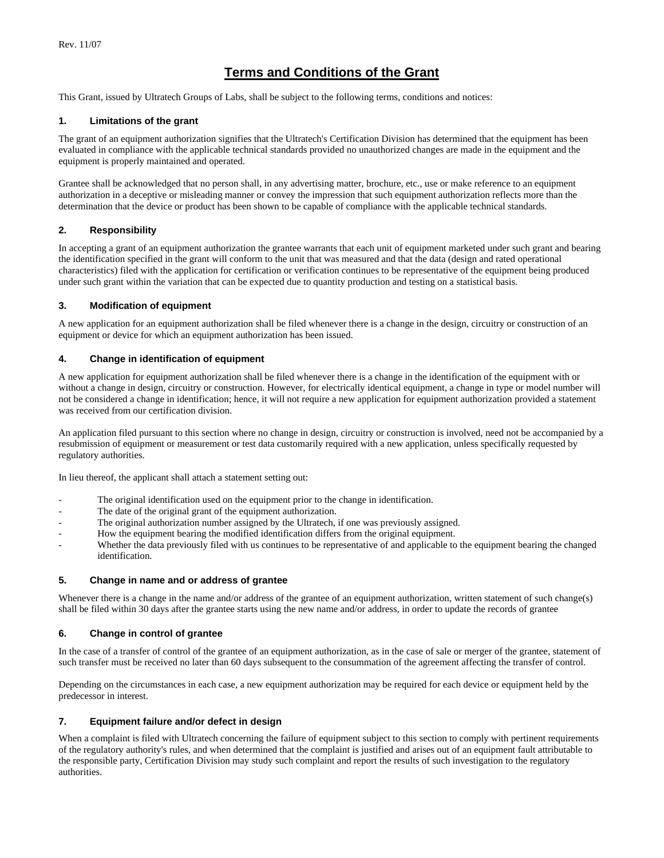# **Terms and Conditions of the Grant**

This Grant, issued by Ultratech Groups of Labs, shall be subject to the following terms, conditions and notices:

## **1. Limitations of the grant**

The grant of an equipment authorization signifies that the Ultratech's Certification Division has determined that the equipment has been evaluated in compliance with the applicable technical standards provided no unauthorized changes are made in the equipment and the equipment is properly maintained and operated.

Grantee shall be acknowledged that no person shall, in any advertising matter, brochure, etc., use or make reference to an equipment authorization in a deceptive or misleading manner or convey the impression that such equipment authorization reflects more than the determination that the device or product has been shown to be capable of compliance with the applicable technical standards.

## **2. Responsibility**

In accepting a grant of an equipment authorization the grantee warrants that each unit of equipment marketed under such grant and bearing the identification specified in the grant will conform to the unit that was measured and that the data (design and rated operational characteristics) filed with the application for certification or verification continues to be representative of the equipment being produced under such grant within the variation that can be expected due to quantity production and testing on a statistical basis.

### **3. Modification of equipment**

A new application for an equipment authorization shall be filed whenever there is a change in the design, circuitry or construction of an equipment or device for which an equipment authorization has been issued.

### **4. Change in identification of equipment**

A new application for equipment authorization shall be filed whenever there is a change in the identification of the equipment with or without a change in design, circuitry or construction. However, for electrically identical equipment, a change in type or model number will not be considered a change in identification; hence, it will not require a new application for equipment authorization provided a statement was received from our certification division.

An application filed pursuant to this section where no change in design, circuitry or construction is involved, need not be accompanied by a resubmission of equipment or measurement or test data customarily required with a new application, unless specifically requested by regulatory authorities.

In lieu thereof, the applicant shall attach a statement setting out:

- The original identification used on the equipment prior to the change in identification.
- The date of the original grant of the equipment authorization.
- The original authorization number assigned by the Ultratech, if one was previously assigned.
- How the equipment bearing the modified identification differs from the original equipment.
- Whether the data previously filed with us continues to be representative of and applicable to the equipment bearing the changed identification.

#### **5. Change in name and or address of grantee**

Whenever there is a change in the name and/or address of the grantee of an equipment authorization, written statement of such change(s) shall be filed within 30 days after the grantee starts using the new name and/or address, in order to update the records of grantee

## **6. Change in control of grantee**

In the case of a transfer of control of the grantee of an equipment authorization, as in the case of sale or merger of the grantee, statement of such transfer must be received no later than 60 days subsequent to the consummation of the agreement affecting the transfer of control.

Depending on the circumstances in each case, a new equipment authorization may be required for each device or equipment held by the predecessor in interest.

## **7. Equipment failure and/or defect in design**

When a complaint is filed with Ultratech concerning the failure of equipment subject to this section to comply with pertinent requirements of the regulatory authority's rules, and when determined that the complaint is justified and arises out of an equipment fault attributable to the responsible party, Certification Division may study such complaint and report the results of such investigation to the regulatory authorities.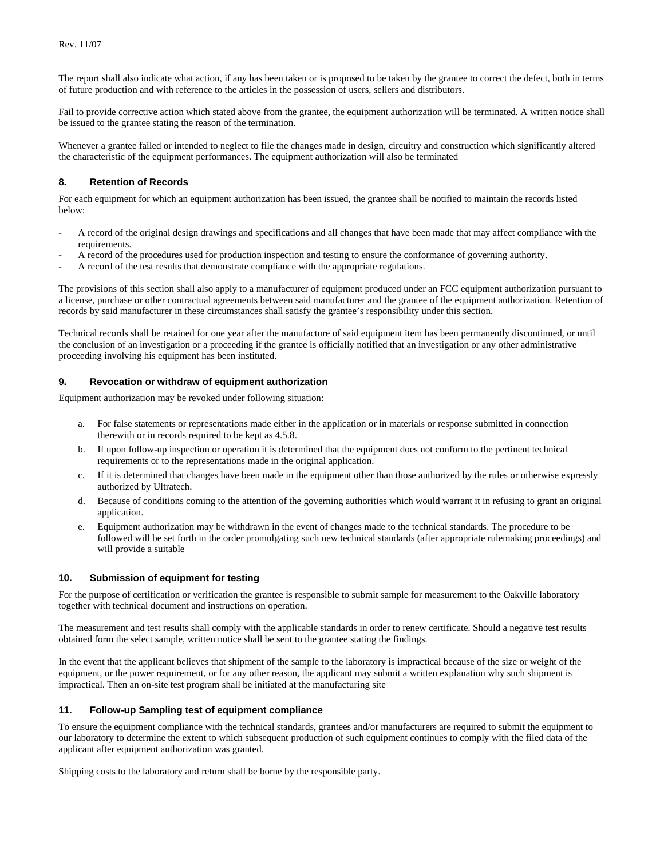The report shall also indicate what action, if any has been taken or is proposed to be taken by the grantee to correct the defect, both in terms of future production and with reference to the articles in the possession of users, sellers and distributors.

Fail to provide corrective action which stated above from the grantee, the equipment authorization will be terminated. A written notice shall be issued to the grantee stating the reason of the termination.

Whenever a grantee failed or intended to neglect to file the changes made in design, circuitry and construction which significantly altered the characteristic of the equipment performances. The equipment authorization will also be terminated

## **8. Retention of Records**

For each equipment for which an equipment authorization has been issued, the grantee shall be notified to maintain the records listed below:

- A record of the original design drawings and specifications and all changes that have been made that may affect compliance with the requirements.
- A record of the procedures used for production inspection and testing to ensure the conformance of governing authority.
- A record of the test results that demonstrate compliance with the appropriate regulations.

The provisions of this section shall also apply to a manufacturer of equipment produced under an FCC equipment authorization pursuant to a license, purchase or other contractual agreements between said manufacturer and the grantee of the equipment authorization. Retention of records by said manufacturer in these circumstances shall satisfy the grantee's responsibility under this section.

Technical records shall be retained for one year after the manufacture of said equipment item has been permanently discontinued, or until the conclusion of an investigation or a proceeding if the grantee is officially notified that an investigation or any other administrative proceeding involving his equipment has been instituted.

## **9. Revocation or withdraw of equipment authorization**

Equipment authorization may be revoked under following situation:

- a. For false statements or representations made either in the application or in materials or response submitted in connection therewith or in records required to be kept as 4.5.8.
- b. If upon follow-up inspection or operation it is determined that the equipment does not conform to the pertinent technical requirements or to the representations made in the original application.
- c. If it is determined that changes have been made in the equipment other than those authorized by the rules or otherwise expressly authorized by Ultratech.
- d. Because of conditions coming to the attention of the governing authorities which would warrant it in refusing to grant an original application.
- e. Equipment authorization may be withdrawn in the event of changes made to the technical standards. The procedure to be followed will be set forth in the order promulgating such new technical standards (after appropriate rulemaking proceedings) and will provide a suitable

## **10. Submission of equipment for testing**

For the purpose of certification or verification the grantee is responsible to submit sample for measurement to the Oakville laboratory together with technical document and instructions on operation.

The measurement and test results shall comply with the applicable standards in order to renew certificate. Should a negative test results obtained form the select sample, written notice shall be sent to the grantee stating the findings.

In the event that the applicant believes that shipment of the sample to the laboratory is impractical because of the size or weight of the equipment, or the power requirement, or for any other reason, the applicant may submit a written explanation why such shipment is impractical. Then an on-site test program shall be initiated at the manufacturing site

#### **11. Follow-up Sampling test of equipment compliance**

To ensure the equipment compliance with the technical standards, grantees and/or manufacturers are required to submit the equipment to our laboratory to determine the extent to which subsequent production of such equipment continues to comply with the filed data of the applicant after equipment authorization was granted.

Shipping costs to the laboratory and return shall be borne by the responsible party.